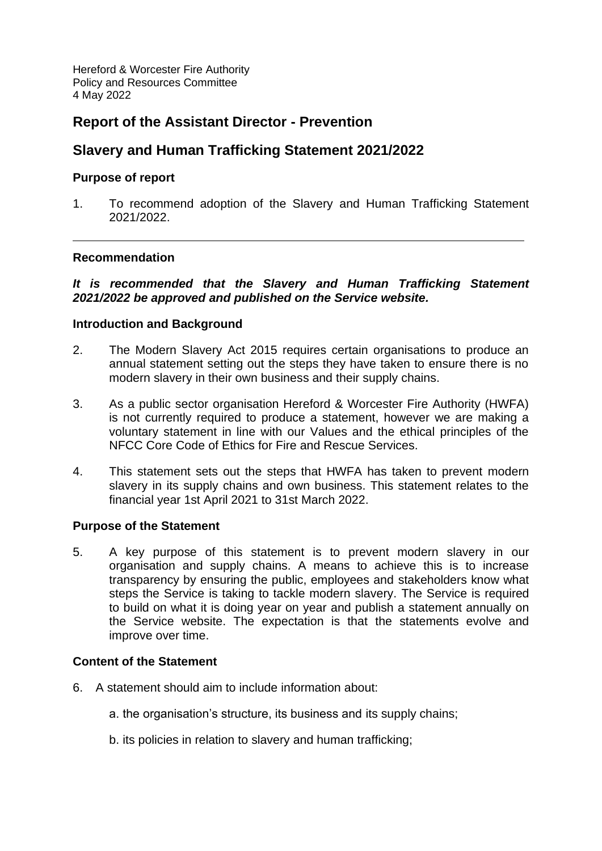Hereford & Worcester Fire Authority Policy and Resources Committee 4 May 2022

# **Report of the Assistant Director - Prevention**

# **Slavery and Human Trafficking Statement 2021/2022**

# **Purpose of report**

1. To recommend adoption of the Slavery and Human Trafficking Statement 2021/2022.

# **Recommendation**

# *It is recommended that the Slavery and Human Trafficking Statement 2021/2022 be approved and published on the Service website.*

# **Introduction and Background**

- 2. The Modern Slavery Act 2015 requires certain organisations to produce an annual statement setting out the steps they have taken to ensure there is no modern slavery in their own business and their supply chains.
- 3. As a public sector organisation Hereford & Worcester Fire Authority (HWFA) is not currently required to produce a statement, however we are making a voluntary statement in line with our Values and the ethical principles of the NFCC Core Code of Ethics for Fire and Rescue Services.
- 4. This statement sets out the steps that HWFA has taken to prevent modern slavery in its supply chains and own business. This statement relates to the financial year 1st April 2021 to 31st March 2022.

#### **Purpose of the Statement**

5. A key purpose of this statement is to prevent modern slavery in our organisation and supply chains. A means to achieve this is to increase transparency by ensuring the public, employees and stakeholders know what steps the Service is taking to tackle modern slavery. The Service is required to build on what it is doing year on year and publish a statement annually on the Service website. The expectation is that the statements evolve and improve over time.

#### **Content of the Statement**

- 6. A statement should aim to include information about:
	- a. the organisation's structure, its business and its supply chains;
	- b. its policies in relation to slavery and human trafficking;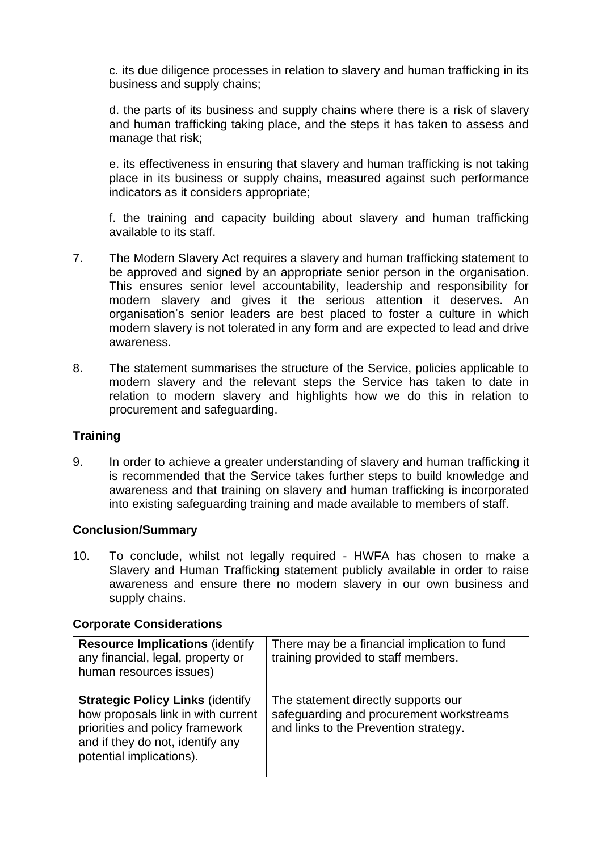c. its due diligence processes in relation to slavery and human trafficking in its business and supply chains;

d. the parts of its business and supply chains where there is a risk of slavery and human trafficking taking place, and the steps it has taken to assess and manage that risk;

e. its effectiveness in ensuring that slavery and human trafficking is not taking place in its business or supply chains, measured against such performance indicators as it considers appropriate;

f. the training and capacity building about slavery and human trafficking available to its staff.

- 7. The Modern Slavery Act requires a slavery and human trafficking statement to be approved and signed by an appropriate senior person in the organisation. This ensures senior level accountability, leadership and responsibility for modern slavery and gives it the serious attention it deserves. An organisation's senior leaders are best placed to foster a culture in which modern slavery is not tolerated in any form and are expected to lead and drive awareness.
- 8. The statement summarises the structure of the Service, policies applicable to modern slavery and the relevant steps the Service has taken to date in relation to modern slavery and highlights how we do this in relation to procurement and safeguarding.

# **Training**

9. In order to achieve a greater understanding of slavery and human trafficking it is recommended that the Service takes further steps to build knowledge and awareness and that training on slavery and human trafficking is incorporated into existing safeguarding training and made available to members of staff.

# **Conclusion/Summary**

10. To conclude, whilst not legally required - HWFA has chosen to make a Slavery and Human Trafficking statement publicly available in order to raise awareness and ensure there no modern slavery in our own business and supply chains.

#### **Corporate Considerations**

| <b>Resource Implications (identify)</b><br>any financial, legal, property or<br>human resources issues)                                                                           | There may be a financial implication to fund<br>training provided to staff members.                                      |
|-----------------------------------------------------------------------------------------------------------------------------------------------------------------------------------|--------------------------------------------------------------------------------------------------------------------------|
| <b>Strategic Policy Links (identify)</b><br>how proposals link in with current<br>priorities and policy framework<br>and if they do not, identify any<br>potential implications). | The statement directly supports our<br>safeguarding and procurement workstreams<br>and links to the Prevention strategy. |